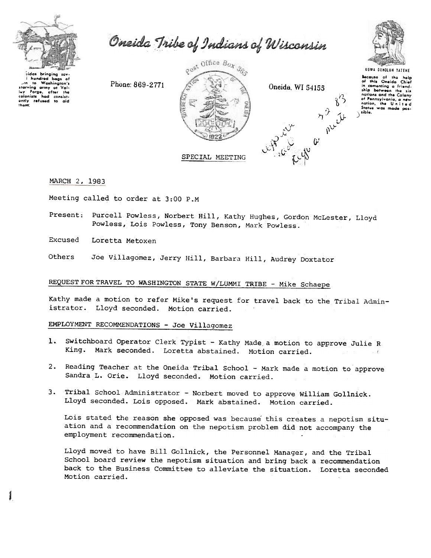

hundred bags of Washington's

 $\frac{1}{2}$  is a starting and  $\frac{1}{2}$ <br>is  $\frac{1}{2}$  forge, after the<br>colonists had consistently refused to aid

 $t^{\circ}$ 

**Greensley** 

Oneida Tribe of Indians of Wisconsin

Phone: 869-2771



Oneida, WI 54155

April 19 Pues



**UGWA DENOLUN TATENE** Because of the help<br>of this Oneida Chief in comenting a friend. nations and the Calany nations and the Calany<br>of Pennsylvania, a new<br>nation, the United<br>States was made pos- $\sum$ 

MARCH 2, 1983

Meeting called to order at 3:00 P.M

Present: Purcell Powless, Norbert Hill, Kathy Hughes, Gordon McLester, Lloyd Powless, Lois Powless, Tony Benson, Mark Powless.

Excused Loretta Metoxen

Joe Villagomez, Jerry Hill, Barbara Hill, Audrey Doxtator Others

# REQUEST FOR TRAVEL TO WASHINGTON STATE W/LUMMI TRIBE - Mike Schaepe

Kathy made a motion to refer Mike's request for travel back to the Tribal Administrator. Lloyd seconded. Motion carried.

EMPLOYMENT RECOMMENDATIONS - Joe Villagomez

- Switchboard Operator Clerk Typist Kathy Made a motion to approve Julie R  $\mathbf{1}_{\mathbf{1}}$ King. Mark seconded. Loretta abstained. Motion carried.
- 2. Reading Teacher at the Oneida Tribal School Mark made a motion to approve Sandra L. Orie. Lloyd seconded. Motion carried.
- 3. Tribal School Administrator Norbert moved to approve William Gollnick. Lloyd seconded. Lois opposed. Mark abstained. Motion carried.

Lois stated the reason she opposed was because this creates a nepotism situation and a recommendation on the nepotism problem did not accompany the employment recommendation.

Lloyd moved to have Bill Gollnick, the Personnel Manager, and the Tribal School board review the nepotism situation and bring back a recommendation back to the Business Committee to alleviate the situation. Loretta seconded Motion carried.